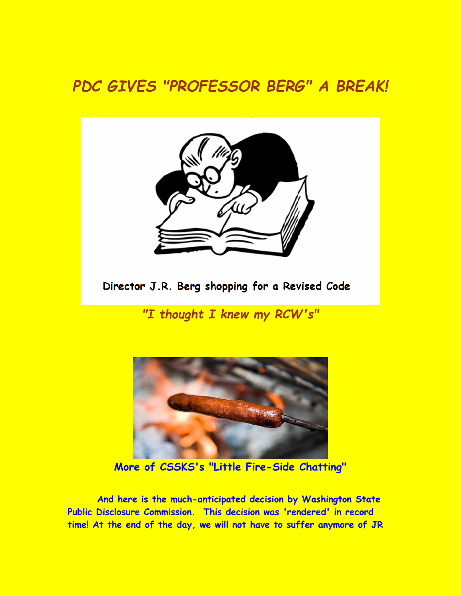## *PDC GIVES "PROFESSOR BERG" A BREAK!*



Director J.R. Berg shopping for a Revised Code

*"I thought I knew my RCW's"* 



**More of CSSKS's "Little Fire-Side Chatting"** 

**And here is the much-anticipated decision by Washington State Public Disclosure Commission. This decision was 'rendered' in record time! At the end of the day, we will not have to suffer anymore of JR**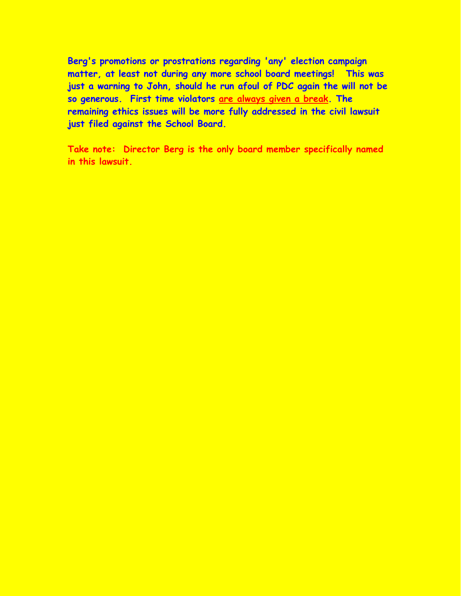**Berg's promotions or prostrations regarding 'any' election campaign matter, at least not during any more school board meetings! This was just a warning to John, should he run afoul of PDC again the will not be so generous. First time violators are always given a break. The remaining ethics issues will be more fully addressed in the civil lawsuit just filed against the School Board.** 

**Take note: Director Berg is the only board member specifically named in this lawsuit.**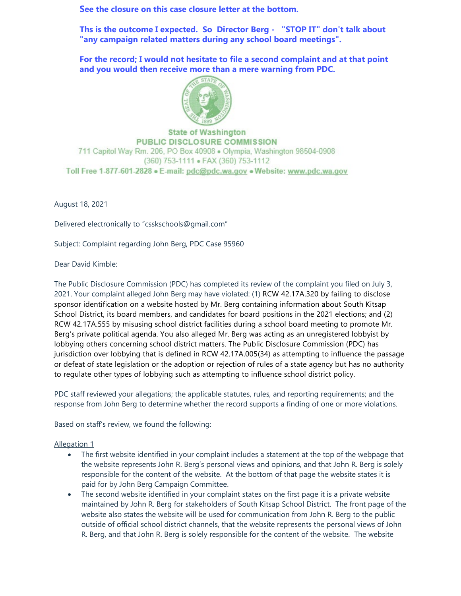**See the closure on this case closure letter at the bottom.**

**Ths is the outcome I expected. So Director Berg - "STOP IT" don't talk about "any campaign related matters during any school board meetings".**

**For the record; I would not hesitate to file a second complaint and at that point and you would then receive more than a mere warning from PDC.**



**State of Washington PUBLIC DISCLOSURE COMMISSION** 711 Capitol Way Rm. 206, PO Box 40908 . Olympia, Washington 98504-0908 (360) 753-1111 · FAX (360) 753-1112 Toll Free 1-877-601-2828 • E-mail: pdc@pdc.wa.gov • Website: www.pdc.wa.gov

August 18, 2021

Delivered electronically to "csskschools@gmail.com"

Subject: Complaint regarding John Berg, PDC Case 95960

Dear David Kimble:

The Public Disclosure Commission (PDC) has completed its review of the complaint you filed on July 3, 2021. Your complaint alleged John Berg may have violated: (1) RCW 42.17A.320 by failing to disclose sponsor identification on a website hosted by Mr. Berg containing information about South Kitsap School District, its board members, and candidates for board positions in the 2021 elections; and (2) RCW 42.17A.555 by misusing school district facilities during a school board meeting to promote Mr. Berg's private political agenda. You also alleged Mr. Berg was acting as an unregistered lobbyist by lobbying others concerning school district matters. The Public Disclosure Commission (PDC) has jurisdiction over lobbying that is defined in RCW 42.17A.005(34) as attempting to influence the passage or defeat of state legislation or the adoption or rejection of rules of a state agency but has no authority to regulate other types of lobbying such as attempting to influence school district policy.

PDC staff reviewed your allegations; the applicable statutes, rules, and reporting requirements; and the response from John Berg to determine whether the record supports a finding of one or more violations.

Based on staff's review, we found the following:

## Allegation 1

- The first website identified in your complaint includes a statement at the top of the webpage that the website represents John R. Berg's personal views and opinions, and that John R. Berg is solely responsible for the content of the website. At the bottom of that page the website states it is paid for by John Berg Campaign Committee.
- The second website identified in your complaint states on the first page it is a private website maintained by John R. Berg for stakeholders of South Kitsap School District. The front page of the website also states the website will be used for communication from John R. Berg to the public outside of official school district channels, that the website represents the personal views of John R. Berg, and that John R. Berg is solely responsible for the content of the website. The website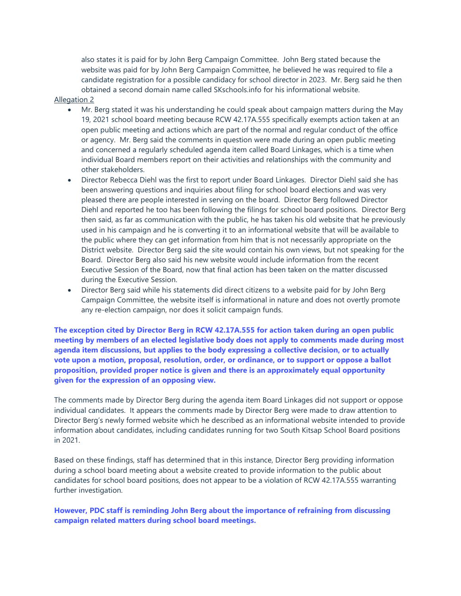also states it is paid for by John Berg Campaign Committee. John Berg stated because the website was paid for by John Berg Campaign Committee, he believed he was required to file a candidate registration for a possible candidacy for school director in 2023. Mr. Berg said he then obtained a second domain name called SKschools.info for his informational website.

## Allegation 2

- Mr. Berg stated it was his understanding he could speak about campaign matters during the May 19, 2021 school board meeting because RCW 42.17A.555 specifically exempts action taken at an open public meeting and actions which are part of the normal and regular conduct of the office or agency. Mr. Berg said the comments in question were made during an open public meeting and concerned a regularly scheduled agenda item called Board Linkages, which is a time when individual Board members report on their activities and relationships with the community and other stakeholders.
- Director Rebecca Diehl was the first to report under Board Linkages. Director Diehl said she has been answering questions and inquiries about filing for school board elections and was very pleased there are people interested in serving on the board. Director Berg followed Director Diehl and reported he too has been following the filings for school board positions. Director Berg then said, as far as communication with the public, he has taken his old website that he previously used in his campaign and he is converting it to an informational website that will be available to the public where they can get information from him that is not necessarily appropriate on the District website. Director Berg said the site would contain his own views, but not speaking for the Board. Director Berg also said his new website would include information from the recent Executive Session of the Board, now that final action has been taken on the matter discussed during the Executive Session.
- Director Berg said while his statements did direct citizens to a website paid for by John Berg Campaign Committee, the website itself is informational in nature and does not overtly promote any re-election campaign, nor does it solicit campaign funds.

**The exception cited by Director Berg in RCW 42.17A.555 for action taken during an open public meeting by members of an elected legislative body does not apply to comments made during most agenda item discussions, but applies to the body expressing a collective decision, or to actually vote upon a motion, proposal, resolution, order, or ordinance, or to support or oppose a ballot proposition, provided proper notice is given and there is an approximately equal opportunity given for the expression of an opposing view.** 

The comments made by Director Berg during the agenda item Board Linkages did not support or oppose individual candidates. It appears the comments made by Director Berg were made to draw attention to Director Berg's newly formed website which he described as an informational website intended to provide information about candidates, including candidates running for two South Kitsap School Board positions in 2021.

Based on these findings, staff has determined that in this instance, Director Berg providing information during a school board meeting about a website created to provide information to the public about candidates for school board positions, does not appear to be a violation of RCW 42.17A.555 warranting further investigation.

**However, PDC staff is reminding John Berg about the importance of refraining from discussing campaign related matters during school board meetings.**